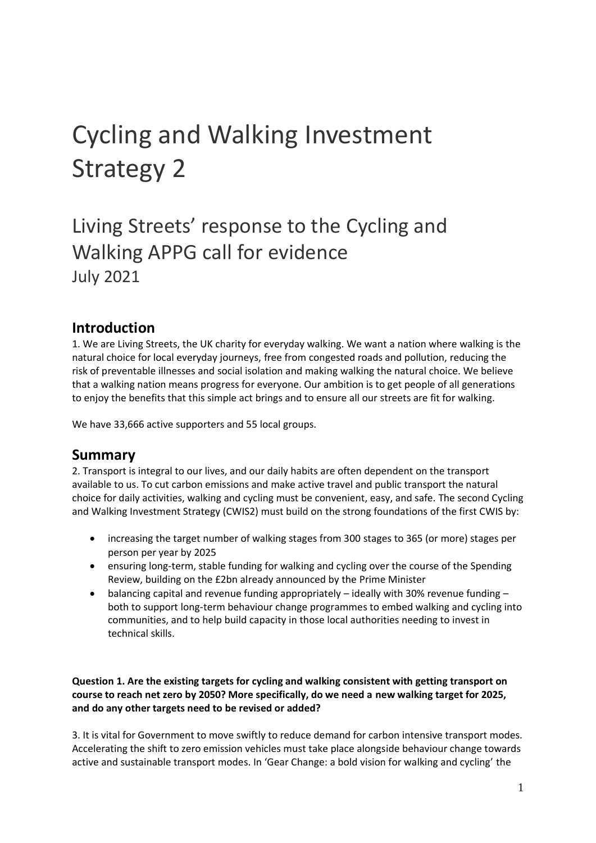# Cycling and Walking Investment Strategy 2

# Living Streets' response to the Cycling and Walking APPG call for evidence July 2021

## **Introduction**

1. We are Living Streets, the UK charity for everyday walking. We want a nation where walking is the natural choice for local everyday journeys, free from congested roads and pollution, reducing the risk of preventable illnesses and social isolation and making walking the natural choice. We believe that a walking nation means progress for everyone. Our ambition is to get people of all generations to enjoy the benefits that this simple act brings and to ensure all our streets are fit for walking.

We have 33,666 active supporters and 55 local groups.

### **Summary**

2. Transport is integral to our lives, and our daily habits are often dependent on the transport available to us. To cut carbon emissions and make active travel and public transport the natural choice for daily activities, walking and cycling must be convenient, easy, and safe. The second Cycling and Walking Investment Strategy (CWIS2) must build on the strong foundations of the first CWIS by:

- increasing the target number of walking stages from 300 stages to 365 (or more) stages per person per year by 2025
- ensuring long-term, stable funding for walking and cycling over the course of the Spending Review, building on the £2bn already announced by the Prime Minister
- balancing capital and revenue funding appropriately ideally with 30% revenue funding both to support long-term behaviour change programmes to embed walking and cycling into communities, and to help build capacity in those local authorities needing to invest in technical skills.

**Question 1. Are the existing targets for cycling and walking consistent with getting transport on course to reach net zero by 2050? More specifically, do we need a new walking target for 2025, and do any other targets need to be revised or added?**

3. It is vital for Government to move swiftly to reduce demand for carbon intensive transport modes. Accelerating the shift to zero emission vehicles must take place alongside behaviour change towards active and sustainable transport modes. In 'Gear Change: a bold vision for walking and cycling' the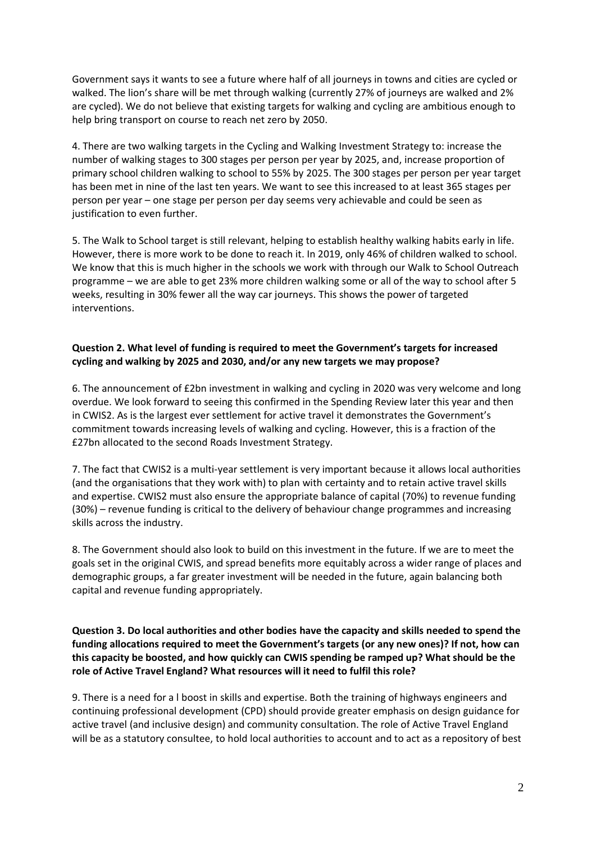Government says it wants to see a future where half of all journeys in towns and cities are cycled or walked. The lion's share will be met through walking (currently 27% of journeys are walked and 2% are cycled). We do not believe that existing targets for walking and cycling are ambitious enough to help bring transport on course to reach net zero by 2050.

4. There are two walking targets in the Cycling and Walking Investment Strategy to: increase the number of walking stages to 300 stages per person per year by 2025, and, increase proportion of primary school children walking to school to 55% by 2025. The 300 stages per person per year target has been met in nine of the last ten years. We want to see this increased to at least 365 stages per person per year – one stage per person per day seems very achievable and could be seen as justification to even further.

5. The Walk to School target is still relevant, helping to establish healthy walking habits early in life. However, there is more work to be done to reach it. In 2019, only 46% of children walked to school. We know that this is much higher in the schools we work with through our Walk to School Outreach programme – we are able to get 23% more children walking some or all of the way to school after 5 weeks, resulting in 30% fewer all the way car journeys. This shows the power of targeted interventions.

#### **Question 2. What level of funding is required to meet the Government's targets for increased cycling and walking by 2025 and 2030, and/or any new targets we may propose?**

6. The announcement of £2bn investment in walking and cycling in 2020 was very welcome and long overdue. We look forward to seeing this confirmed in the Spending Review later this year and then in CWIS2. As is the largest ever settlement for active travel it demonstrates the Government's commitment towards increasing levels of walking and cycling. However, this is a fraction of the £27bn allocated to the second Roads Investment Strategy.

7. The fact that CWIS2 is a multi-year settlement is very important because it allows local authorities (and the organisations that they work with) to plan with certainty and to retain active travel skills and expertise. CWIS2 must also ensure the appropriate balance of capital (70%) to revenue funding (30%) – revenue funding is critical to the delivery of behaviour change programmes and increasing skills across the industry.

8. The Government should also look to build on this investment in the future. If we are to meet the goals set in the original CWIS, and spread benefits more equitably across a wider range of places and demographic groups, a far greater investment will be needed in the future, again balancing both capital and revenue funding appropriately.

#### **Question 3. Do local authorities and other bodies have the capacity and skills needed to spend the funding allocations required to meet the Government's targets (or any new ones)? If not, how can this capacity be boosted, and how quickly can CWIS spending be ramped up? What should be the role of Active Travel England? What resources will it need to fulfil this role?**

9. There is a need for a l boost in skills and expertise. Both the training of highways engineers and continuing professional development (CPD) should provide greater emphasis on design guidance for active travel (and inclusive design) and community consultation. The role of Active Travel England will be as a statutory consultee, to hold local authorities to account and to act as a repository of best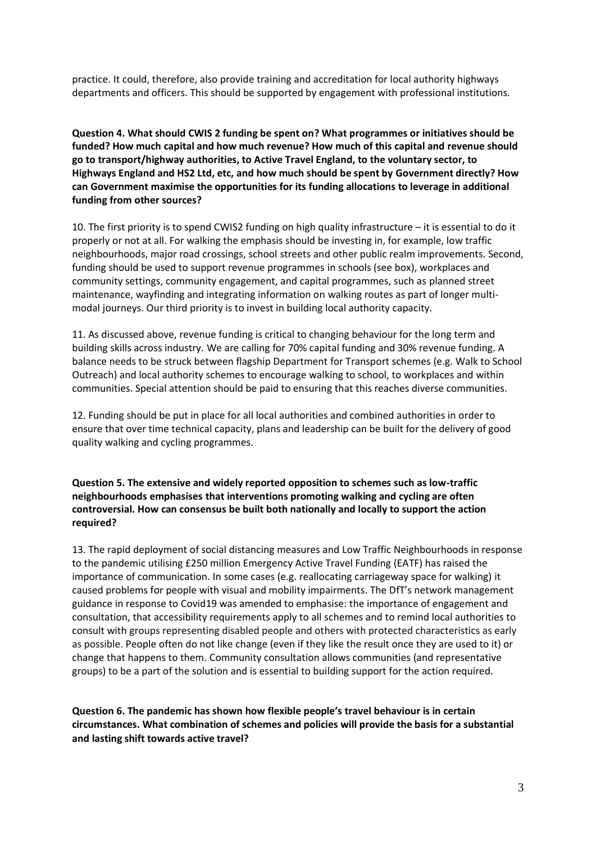practice. It could, therefore, also provide training and accreditation for local authority highways departments and officers. This should be supported by engagement with professional institutions.

**Question 4. What should CWIS 2 funding be spent on? What programmes or initiatives should be funded? How much capital and how much revenue? How much of this capital and revenue should go to transport/highway authorities, to Active Travel England, to the voluntary sector, to Highways England and HS2 Ltd, etc, and how much should be spent by Government directly? How can Government maximise the opportunities for its funding allocations to leverage in additional funding from other sources?**

10. The first priority is to spend CWIS2 funding on high quality infrastructure – it is essential to do it properly or not at all. For walking the emphasis should be investing in, for example, low traffic neighbourhoods, major road crossings, school streets and other public realm improvements. Second, funding should be used to support revenue programmes in schools (see box), workplaces and community settings, community engagement, and capital programmes, such as planned street maintenance, wayfinding and integrating information on walking routes as part of longer multimodal journeys. Our third priority is to invest in building local authority capacity.

11. As discussed above, revenue funding is critical to changing behaviour for the long term and building skills across industry. We are calling for 70% capital funding and 30% revenue funding. A balance needs to be struck between flagship Department for Transport schemes (e.g. Walk to School Outreach) and local authority schemes to encourage walking to school, to workplaces and within communities. Special attention should be paid to ensuring that this reaches diverse communities.

12. Funding should be put in place for all local authorities and combined authorities in order to ensure that over time technical capacity, plans and leadership can be built for the delivery of good quality walking and cycling programmes.

**Question 5. The extensive and widely reported opposition to schemes such as low-traffic neighbourhoods emphasises that interventions promoting walking and cycling are often controversial. How can consensus be built both nationally and locally to support the action required?**

13. The rapid deployment of social distancing measures and Low Traffic Neighbourhoods in response to the pandemic utilising £250 million Emergency Active Travel Funding (EATF) has raised the importance of communication. In some cases (e.g. reallocating carriageway space for walking) it caused problems for people with visual and mobility impairments. The DfT's network management guidance in response to Covid19 was amended to emphasise: the importance of engagement and consultation, that accessibility requirements apply to all schemes and to remind local authorities to consult with groups representing disabled people and others with protected characteristics as early as possible. People often do not like change (even if they like the result once they are used to it) or change that happens to them. Community consultation allows communities (and representative groups) to be a part of the solution and is essential to building support for the action required.

**Question 6. The pandemic has shown how flexible people's travel behaviour is in certain circumstances. What combination of schemes and policies will provide the basis for a substantial and lasting shift towards active travel?**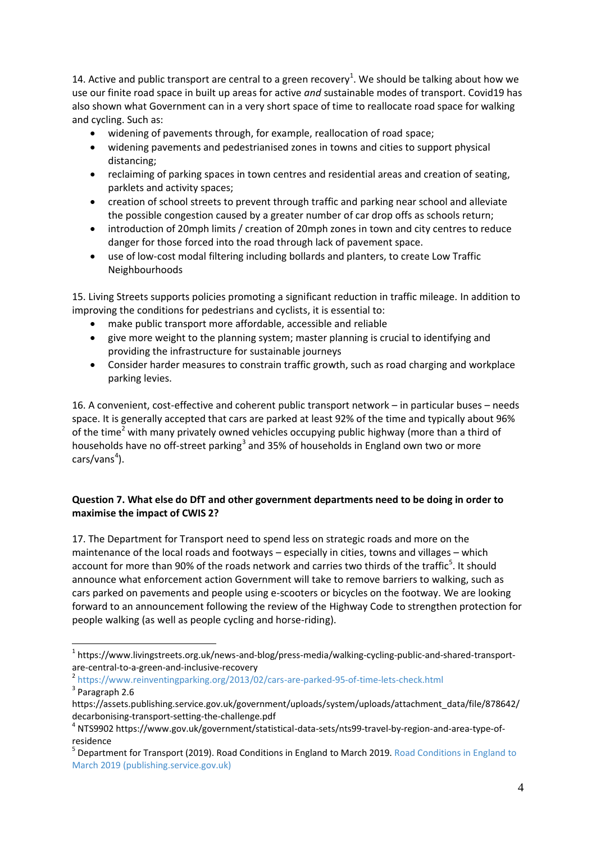14. Active and public transport are central to a green recovery<sup>1</sup>. We should be talking about how we use our finite road space in built up areas for active *and* sustainable modes of transport. Covid19 has also shown what Government can in a very short space of time to reallocate road space for walking and cycling. Such as:

- widening of pavements through, for example, reallocation of road space;
- widening pavements and pedestrianised zones in towns and cities to support physical distancing;
- reclaiming of parking spaces in town centres and residential areas and creation of seating, parklets and activity spaces;
- creation of [school streets](https://www.livingstreets.org.uk/get-involved/campaign-with-us/safer-routes-to-school) to prevent through traffic and parking near school and alleviate the possible congestion caused by a greater number of car drop offs as schools return;
- introduction of 20mph limits / creation of 20mph zones in town and city centres to reduce danger for those forced into the road through lack of pavement space.
- use of low-cost modal filtering including bollards and planters, to create Low Traffic Neighbourhoods

15. Living Streets supports policies promoting a significant reduction in traffic mileage. In addition to improving the conditions for pedestrians and cyclists, it is essential to:

- make public transport more affordable, accessible and reliable
- give more weight to the planning system; master planning is crucial to identifying and providing the infrastructure for sustainable journeys
- Consider harder measures to constrain traffic growth, such as road charging and workplace parking levies.

16. A convenient, cost-effective and coherent public transport network – in particular buses – needs space. It is generally accepted that cars are parked at least 92% of the time and typically about 96% of the time<sup>2</sup> with many privately owned vehicles occupying public highway (more than a third of households have no off-street parking<sup>3</sup> and 35% of households in England own two or more cars/vans<sup>4</sup>).

#### **Question 7. What else do DfT and other government departments need to be doing in order to maximise the impact of CWIS 2?**

17. The Department for Transport need to spend less on strategic roads and more on the maintenance of the local roads and footways – especially in cities, towns and villages – which account for more than 90% of the roads network and carries two thirds of the traffic<sup>5</sup>. It should announce what enforcement action Government will take to remove barriers to walking, such as cars parked on pavements and people using e-scooters or bicycles on the footway. We are looking forward to an announcement following the review of the Highway Code to strengthen protection for people walking (as well as people cycling and horse-riding).

2 <https://www.reinventingparking.org/2013/02/cars-are-parked-95-of-time-lets-check.html>

<sup>&</sup>lt;sup>1</sup> [https://www.livingstreets.org.uk/news-and-blog/press-media/walking-cycling-public-and-shared-transport](https://www.livingstreets.org.uk/news-and-blog/press-media/walking-cycling-public-and-shared-transport-are-central-to-a-green-and-inclusive-recovery)[are-central-to-a-green-and-inclusive-recovery](https://www.livingstreets.org.uk/news-and-blog/press-media/walking-cycling-public-and-shared-transport-are-central-to-a-green-and-inclusive-recovery)

<sup>&</sup>lt;sup>3</sup> Paragraph 2.6

[https://assets.publishing.service.gov.uk/government/uploads/system/uploads/attachment\\_data/file/878642/](https://assets.publishing.service.gov.uk/government/uploads/system/uploads/attachment_data/file/878642/decarbonising-transport-setting-the-challenge.pdf) [decarbonising-transport-setting-the-challenge.pdf](https://assets.publishing.service.gov.uk/government/uploads/system/uploads/attachment_data/file/878642/decarbonising-transport-setting-the-challenge.pdf)

<sup>4</sup> NTS9902 [https://www.gov.uk/government/statistical-data-sets/nts99-travel-by-region-and-area-type-of](https://www.gov.uk/government/statistical-data-sets/nts99-travel-by-region-and-area-type-of-residence)[residence](https://www.gov.uk/government/statistical-data-sets/nts99-travel-by-region-and-area-type-of-residence)

<sup>&</sup>lt;sup>5</sup> Department for Transport (2019). [Road Conditions in England to](https://assets.publishing.service.gov.uk/government/uploads/system/uploads/attachment_data/file/836141/road-conditions-in-england-to-march-2019.pdf) March 2019. Road Conditions in England to [March 2019 \(publishing.service.gov.uk\)](https://assets.publishing.service.gov.uk/government/uploads/system/uploads/attachment_data/file/836141/road-conditions-in-england-to-march-2019.pdf)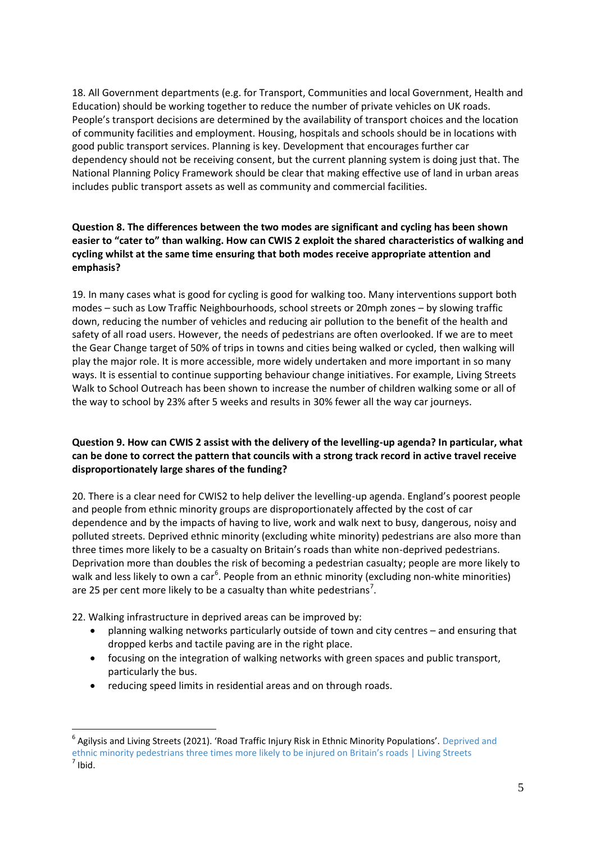18. All Government departments (e.g. for Transport, Communities and local Government, Health and Education) should be working together to reduce the number of private vehicles on UK roads. People's transport decisions are determined by the availability of transport choices and the location of community facilities and employment. Housing, hospitals and schools should be in locations with good public transport services. Planning is key. Development that encourages further car dependency should not be receiving consent, but the current planning system is doing just that. The National Planning Policy Framework should be clear that making effective use of land in urban areas includes public transport assets as well as community and commercial facilities.

#### **Question 8. The differences between the two modes are significant and cycling has been shown easier to "cater to" than walking. How can CWIS 2 exploit the shared characteristics of walking and cycling whilst at the same time ensuring that both modes receive appropriate attention and emphasis?**

19. In many cases what is good for cycling is good for walking too. Many interventions support both modes – such as Low Traffic Neighbourhoods, school streets or 20mph zones – by slowing traffic down, reducing the number of vehicles and reducing air pollution to the benefit of the health and safety of all road users. However, the needs of pedestrians are often overlooked. If we are to meet the Gear Change target of 50% of trips in towns and cities being walked or cycled, then walking will play the major role. It is more accessible, more widely undertaken and more important in so many ways. It is essential to continue supporting behaviour change initiatives. For example, Living Streets Walk to School Outreach has been shown to increase the number of children walking some or all of the way to school by 23% after 5 weeks and results in 30% fewer all the way car journeys.

#### **Question 9. How can CWIS 2 assist with the delivery of the levelling-up agenda? In particular, what can be done to correct the pattern that councils with a strong track record in active travel receive disproportionately large shares of the funding?**

20. There is a clear need for CWIS2 to help deliver the levelling-up agenda. England's poorest people and people from ethnic minority groups are disproportionately affected by the cost of car dependence and by the impacts of having to live, work and walk next to busy, dangerous, noisy and polluted streets. Deprived ethnic minority (excluding white minority) pedestrians are also more than three times more likely to be a casualty on Britain's roads than white non-deprived pedestrians. Deprivation more than doubles the risk of becoming a pedestrian casualty; people are more likely to walk and less likely to own a car<sup>6</sup>. People from an ethnic minority (excluding non-white minorities) are 25 per cent more likely to be a casualty than white pedestrians<sup>7</sup>.

22. Walking infrastructure in deprived areas can be improved by:

- planning walking networks particularly outside of town and city centres and ensuring that dropped kerbs and tactile paving are in the right place.
- focusing on the integration of walking networks with green spaces and public transport, particularly the bus.
- reducing speed limits in residential areas and on through roads.

<sup>&</sup>lt;sup>6</sup> Agilysis and Living Streets (2021). 'Road Traffic Injury Risk in Ethnic Minority Populations'. Deprived and [ethnic minority pedestrians three times more likely to be injured on Bri](https://www.livingstreets.org.uk/news-and-blog/press-media/deprived-and-ethnic-minority-pedestrians-three-times-more-likely-to-be-injured-on-britain-s-roads)tain's roads | Living Streets  $<sup>7</sup>$  Ibid.</sup>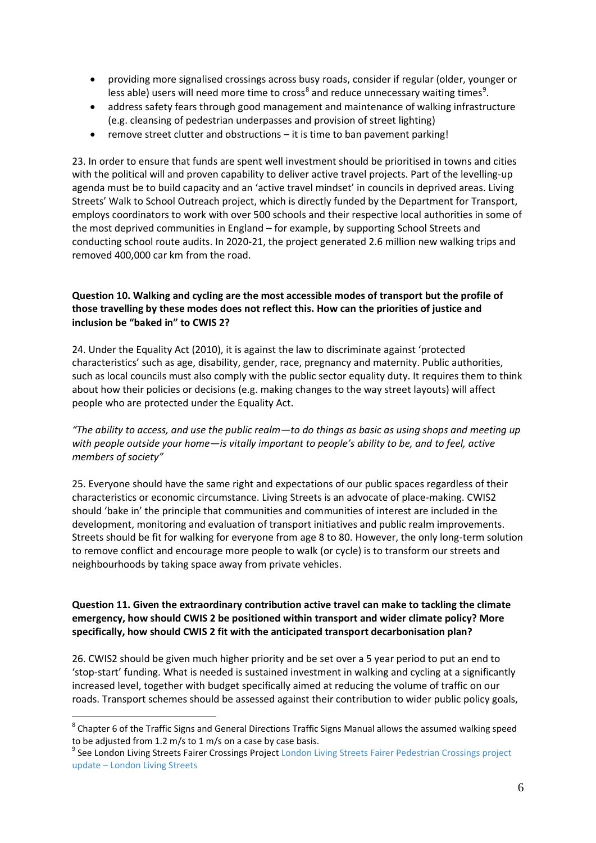- providing more signalised crossings across busy roads, consider if regular (older, younger or less able) users will need more time to cross<sup>8</sup> and reduce unnecessary waiting times<sup>9</sup>.
- address safety fears through good management and maintenance of walking infrastructure (e.g. cleansing of pedestrian underpasses and provision of street lighting)
- remove street clutter and obstructions it is time to ban pavement parking!

23. In order to ensure that funds are spent well investment should be prioritised in towns and cities with the political will and proven capability to deliver active travel projects. Part of the levelling-up agenda must be to build capacity and an 'active travel mindset' in councils in deprived areas. Living Streets' Walk to School Outreach project, which is directly funded by the Department for Transport, employs coordinators to work with over 500 schools and their respective local authorities in some of the most deprived communities in England – for example, by supporting School Streets and conducting school route audits. In 2020-21, the project generated 2.6 million new walking trips and removed 400,000 car km from the road.

#### **Question 10. Walking and cycling are the most accessible modes of transport but the profile of those travelling by these modes does not reflect this. How can the priorities of justice and inclusion be "baked in" to CWIS 2?**

24. Under the Equality Act (2010), it is against the law to discriminate against 'protected characteristics' such as age, disability, gender, race, pregnancy and maternity. Public authorities, such as local councils must also comply with the public sector equality duty. It requires them to think about how their policies or decisions (e.g. making changes to the way street layouts) will affect people who are protected under the Equality Act.

*"The ability to access, and use the public realm—to do things as basic as using shops and meeting up with people outside your home—is vitally important to people's ability to be, and to feel, active members of society"* 

25. Everyone should have the same right and expectations of our public spaces regardless of their characteristics or economic circumstance. Living Streets is an advocate of place-making. CWIS2 should 'bake in' the principle that communities and communities of interest are included in the development, monitoring and evaluation of transport initiatives and public realm improvements. Streets should be fit for walking for everyone from age 8 to 80. However, the only long-term solution to remove conflict and encourage more people to walk (or cycle) is to transform our streets and neighbourhoods by taking space away from private vehicles.

#### **Question 11. Given the extraordinary contribution active travel can make to tackling the climate emergency, how should CWIS 2 be positioned within transport and wider climate policy? More specifically, how should CWIS 2 fit with the anticipated transport decarbonisation plan?**

26. CWIS2 should be given much higher priority and be set over a 5 year period to put an end to 'stop-start' funding. What is needed is sustained investment in walking and cycling at a significantly increased level, together with budget specifically aimed at reducing the volume of traffic on our roads. Transport schemes should be assessed against their contribution to wider public policy goals,

 $^8$  Chapter 6 of the Traffic Signs and General Directions Traffic Signs Manual allows the assumed walking speed to be adjusted from 1.2 m/s to 1 m/s on a case by case basis.

<sup>&</sup>lt;sup>9</sup> See London Living Streets Fairer Crossings Project London Living Streets Fairer Pedestrian Crossings project update – [London Living Streets](https://londonlivingstreets.com/2020/01/24/london-living-streets-fairer-pedestrian-crossings-project-update/#:~:text=The%20goal%20of%20the%20London%20Living%20Streets%20Fairer,service%20and%20experience%20for%20those%20travelling%20on%20foot.)